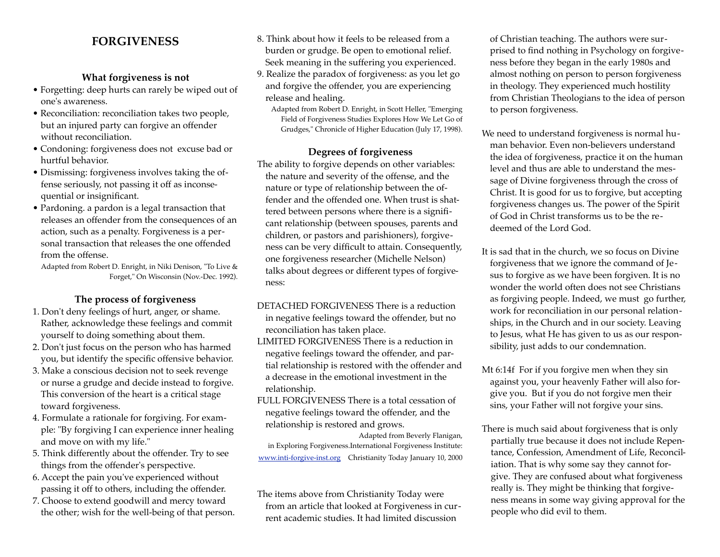# **FORGIVENESS**

## **What forgiveness is not**

- Forgetting: deep hurts can rarely be wiped out of one's awareness.
- Reconciliation: reconciliation takes two people, but an injured party can forgive an offender without reconciliation.
- Condoning: forgiveness does not excuse bad or hurtful behavior.
- Dismissing: forgiveness involves taking the offense seriously, not passing it off as inconsequential or insignificant.
- Pardoning. a pardon is a legal transaction that releases an offender from the consequences of an action, such as a penalty. Forgiveness is a personal transaction that releases the one offended from the offense.

Adapted from Robert D. Enright, in Niki Denison, "To Live & Forget," On Wisconsin (Nov.-Dec. 1992).

#### **The process of forgiveness**

- 1. Don't deny feelings of hurt, anger, or shame. Rather, acknowledge these feelings and commit yourself to doing something about them.
- 2. Don't just focus on the person who has harmed you, but identify the specific offensive behavior.
- 3. Make a conscious decision not to seek revenge or nurse a grudge and decide instead to forgive. This conversion of the heart is a critical stage toward forgiveness.
- 4. Formulate a rationale for forgiving. For example: "By forgiving I can experience inner healing and move on with my life."
- 5. Think differently about the offender. Try to see things from the offender's perspective.
- 6. Accept the pain you've experienced without passing it off to others, including the offender.
- 7. Choose to extend goodwill and mercy toward the other; wish for the well-being of that person.
- 8. Think about how it feels to be released from a burden or grudge. Be open to emotional relief. Seek meaning in the suffering you experienced.
- 9. Realize the paradox of forgiveness: as you let go and forgive the offender, you are experiencing release and healing.
	- Adapted from Robert D. Enright, in Scott Heller, "Emerging Field of Forgiveness Studies Explores How We Let Go of Grudges," Chronicle of Higher Education (July 17, 1998).

### **Degrees of forgiveness**

The ability to forgive depends on other variables: the nature and severity of the offense, and the nature or type of relationship between the offender and the offended one. When trust is shattered between persons where there is a significant relationship (between spouses, parents and children, or pastors and parishioners), forgiveness can be very difficult to attain. Consequently, one forgiveness researcher (Michelle Nelson) talks about degrees or different types of forgiveness:

- DETACHED FORGIVENESS There is a reduction in negative feelings toward the offender, but no reconciliation has taken place.
- LIMITED FORGIVENESS There is a reduction in negative feelings toward the offender, and partial relationship is restored with the offender and a decrease in the emotional investment in the relationship.
- FULL FORGIVENESS There is a total cessation of negative feelings toward the offender, and the relationship is restored and grows.

Adapted from Beverly Flanigan, in Exploring Forgiveness.International Forgiveness Institute: [www.inti-forgive-inst.org](http://www.inti-forgive-inst.org)Christianity Today January 10, 2000

The items above from Christianity Today were from an article that looked at Forgiveness in current academic studies. It had limited discussion

of Christian teaching. The authors were surprised to find nothing in Psychology on forgiveness before they began in the early 1980s and almost nothing on person to person forgiveness in theology. They experienced much hostility from Christian Theologians to the idea of person to person forgiveness.

- We need to understand forgiveness is normal human behavior. Even non-believers understand the idea of forgiveness, practice it on the human level and thus are able to understand the message of Divine forgiveness through the cross of Christ. It is good for us to forgive, but accepting forgiveness changes us. The power of the Spirit of God in Christ transforms us to be the redeemed of the Lord God.
- It is sad that in the church, we so focus on Divine forgiveness that we ignore the command of Jesus to forgive as we have been forgiven. It is no wonder the world often does not see Christians as forgiving people. Indeed, we must go further, work for reconciliation in our personal relationships, in the Church and in our society. Leaving to Jesus, what He has given to us as our responsibility, just adds to our condemnation.
- Mt 6:14f For if you forgive men when they sin against you, your heavenly Father will also forgive you. But if you do not forgive men their sins, your Father will not forgive your sins.
- There is much said about forgiveness that is only partially true because it does not include Repentance, Confession, Amendment of Life, Reconciliation. That is why some say they cannot forgive. They are confused about what forgiveness really is. They might be thinking that forgiveness means in some way giving approval for the people who did evil to them.